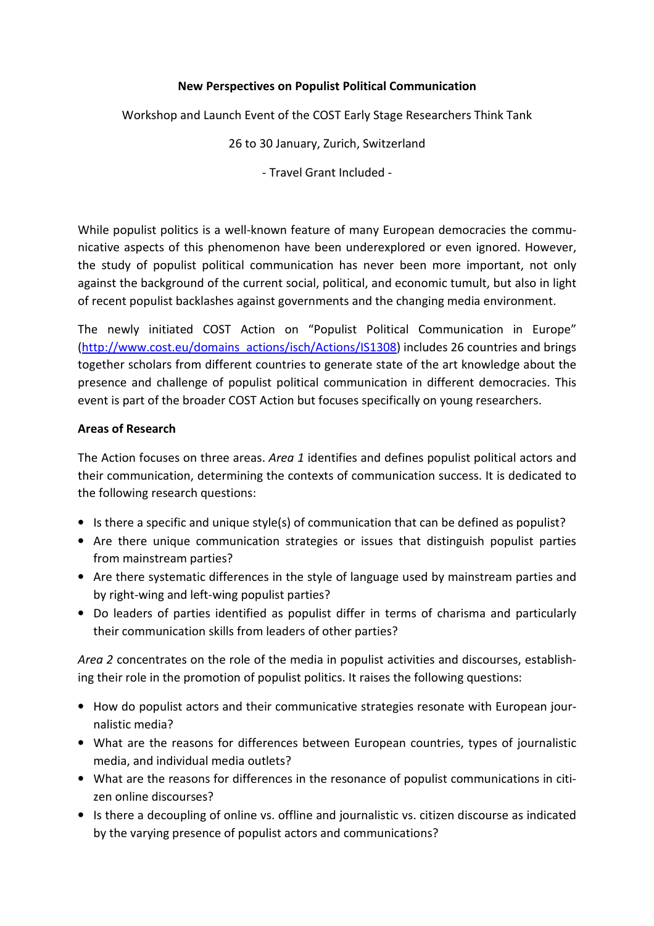## New Perspectives on Populist Political Communication

Workshop and Launch Event of the COST Early Stage Researchers Think Tank

26 to 30 January, Zurich, Switzerland

- Travel Grant Included -

While populist politics is a well-known feature of many European democracies the communicative aspects of this phenomenon have been underexplored or even ignored. However, the study of populist political communication has never been more important, not only against the background of the current social, political, and economic tumult, but also in light of recent populist backlashes against governments and the changing media environment.

The newly initiated COST Action on "Populist Political Communication in Europe" (http://www.cost.eu/domains\_actions/isch/Actions/IS1308) includes 26 countries and brings together scholars from different countries to generate state of the art knowledge about the presence and challenge of populist political communication in different democracies. This event is part of the broader COST Action but focuses specifically on young researchers.

## Areas of Research

The Action focuses on three areas. Area 1 identifies and defines populist political actors and their communication, determining the contexts of communication success. It is dedicated to the following research questions:

- Is there a specific and unique style(s) of communication that can be defined as populist?
- Are there unique communication strategies or issues that distinguish populist parties from mainstream parties?
- Are there systematic differences in the style of language used by mainstream parties and by right-wing and left-wing populist parties?
- Do leaders of parties identified as populist differ in terms of charisma and particularly their communication skills from leaders of other parties?

Area 2 concentrates on the role of the media in populist activities and discourses, establishing their role in the promotion of populist politics. It raises the following questions:

- How do populist actors and their communicative strategies resonate with European journalistic media?
- What are the reasons for differences between European countries, types of journalistic media, and individual media outlets?
- What are the reasons for differences in the resonance of populist communications in citizen online discourses?
- Is there a decoupling of online vs. offline and journalistic vs. citizen discourse as indicated by the varying presence of populist actors and communications?